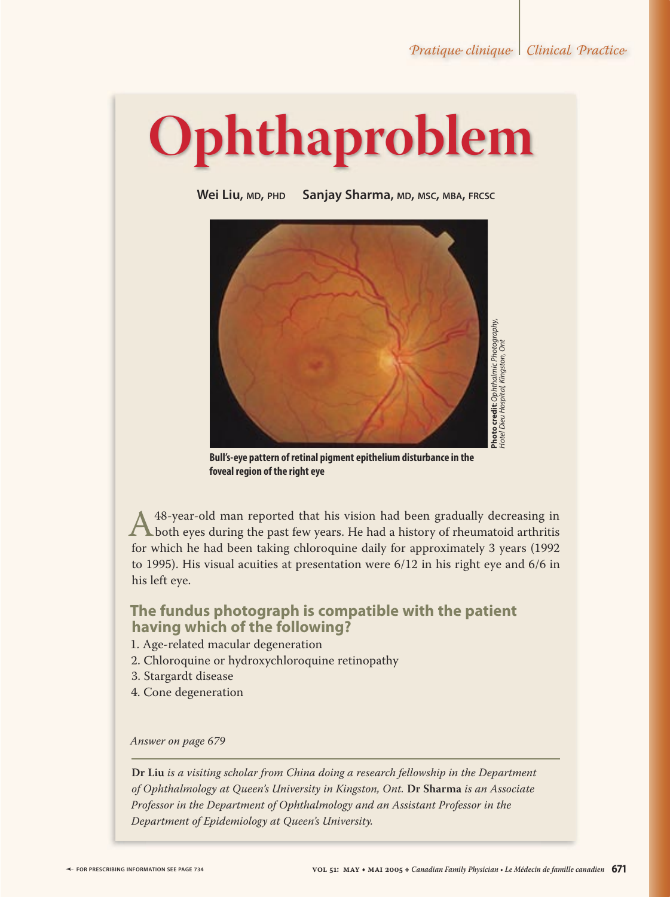Hotel Dieu Hospital, Kingston, Ont

# **Ophthaproblem**

Wei Liu, MD, PHD Sanjay Sharma, MD, MSC, MBA, FRCSC



**Bull's-eye pattern of retinal pigment epithelium disturbance in the foveal region of the right eye**

A 48-year-old man reported that his vision had been gradually decreasing in both eyes during the past few years. He had a history of rheumatoid arthritis for which he had been taking chloroquine daily for approximately 3 y for which he had been taking chloroquine daily for approximately 3 years (1992 to 1995). His visual acuities at presentation were 6/12 in his right eye and 6/6 in his left eye.

### **The fundus photograph is compatible with the patient having which of the following?**

- 1. Age-related macular degeneration
- 2. Chloroquine or hydroxychloroquine retinopathy
- 3. Stargardt disease
- 4. Cone degeneration

#### *Answer on page 679*

**Dr Liu** *is a visiting scholar from China doing a research fellowship in the Department of Ophthalmology at Queen's University in Kingston, Ont.* **Dr Sharma** *is an Associate Professor in the Department of Ophthalmology and an Assistant Professor in the Department of Epidemiology at Queen's University.*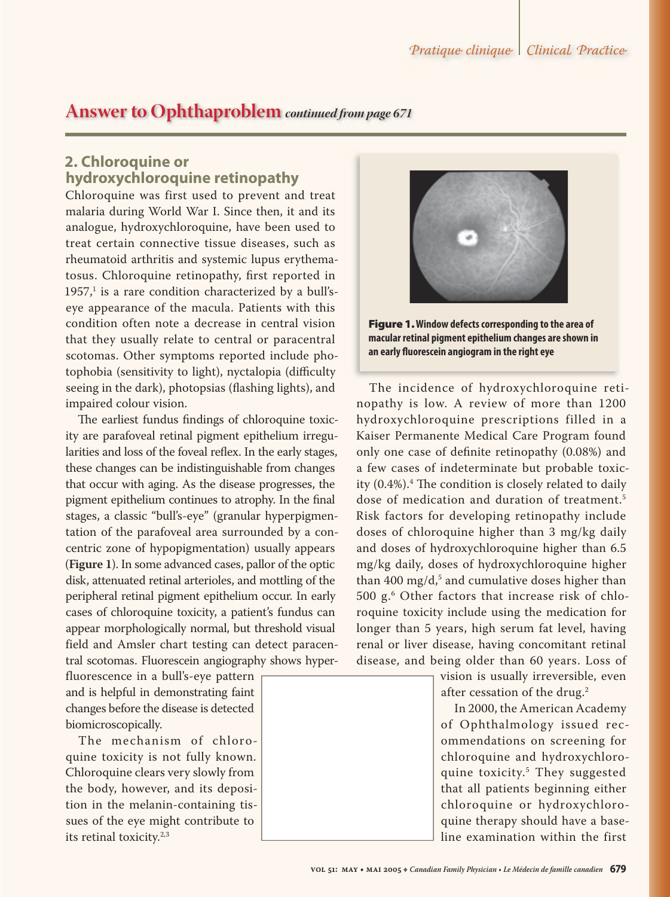## **Answer to Ophthaproblem** *continued from page 671*

## **2. Chloroquine or hydroxychloroquine retinopathy**

Chloroquine was first used to prevent and treat malaria during World War I. Since then, it and its analogue, hydroxychloroquine, have been used to treat certain connective tissue diseases, such as rheumatoid arthritis and systemic lupus erythematosus. Chloroquine retinopathy, first reported in  $1957<sup>1</sup>$  is a rare condition characterized by a bull'seye appearance of the macula. Patients with this condition often note a decrease in central vision that they usually relate to central or paracentral scotomas. Other symptoms reported include photophobia (sensitivity to light), nyctalopia (difficulty seeing in the dark), photopsias (flashing lights), and impaired colour vision.

The earliest fundus findings of chloroquine toxicity are parafoveal retinal pigment epithelium irregularities and loss of the foveal reflex. In the early stages, these changes can be indistinguishable from changes that occur with aging. As the disease progresses, the pigment epithelium continues to atrophy. In the final stages, a classic "bull's-eye" (granular hyperpigmentation of the parafoveal area surrounded by a concentric zone of hypopigmentation) usually appears (**Figure 1**). In some advanced cases, pallor of the optic disk, attenuated retinal arterioles, and mottling of the peripheral retinal pigment epithelium occur. In early cases of chloroquine toxicity, a patient's fundus can appear morphologically normal, but threshold visual field and Amsler chart testing can detect paracentral scotomas. Fluorescein angiography shows hyper-

fluorescence in a bull's-eye pattern and is helpful in demonstrating faint changes before the disease is detected biomicroscopically.

The mechanism of chloroquine toxicity is not fully known. Chloroquine clears very slowly from the body, however, and its deposition in the melanin-containing tissues of the eye might contribute to its retinal toxicity.2,3



Figure 1. **Window defects corresponding to the area of macular retinal pigment epithelium changes are shown in an early fl uorescein angiogram in the right eye**

The incidence of hydroxychloroquine retinopathy is low. A review of more than 1200 hydroxychloroquine prescriptions filled in a Kaiser Permanente Medical Care Program found only one case of definite retinopathy (0.08%) and a few cases of indeterminate but probable toxicity (0.4%).<sup>4</sup> The condition is closely related to daily dose of medication and duration of treatment.<sup>5</sup> Risk factors for developing retinopathy include doses of chloroquine higher than 3 mg/kg daily and doses of hydroxychloroquine higher than 6.5 mg/kg daily, doses of hydroxychloroquine higher than 400 mg/d, $^5$  and cumulative doses higher than 500 g.6 Other factors that increase risk of chloroquine toxicity include using the medication for longer than 5 years, high serum fat level, having renal or liver disease, having concomitant retinal disease, and being older than 60 years. Loss of

> vision is usually irreversible, even after cessation of the drug.<sup>2</sup>

In 2000, the American Academy of Ophthalmology issued recommendations on screening for chloroquine and hydroxychloroquine toxicity.5 They suggested that all patients beginning either chloroquine or hydroxychloroquine therapy should have a baseline examination within the first